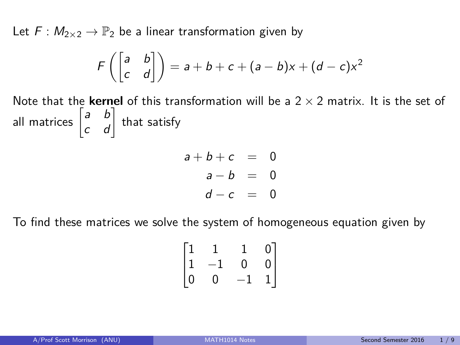<span id="page-0-0"></span>Let  $F : M_{2\times 2} \to \mathbb{P}_2$  be a linear transformation given by

$$
F\left(\begin{bmatrix} a & b \\ c & d \end{bmatrix}\right) = a + b + c + (a - b)x + (d - c)x^2
$$

Note that the **kernel** of this transformation will be a  $2 \times 2$  matrix. It is the set of all matrices  $\begin{bmatrix} a & b \\ c & d \end{bmatrix}$  that satisfy

$$
a+b+c = 0
$$
  

$$
a-b = 0
$$
  

$$
d-c = 0
$$

To find these matrices we solve the system of homogeneous equation given by

$$
\begin{bmatrix} 1 & 1 & 1 & 0 \ 1 & -1 & 0 & 0 \ 0 & 0 & -1 & 1 \end{bmatrix}
$$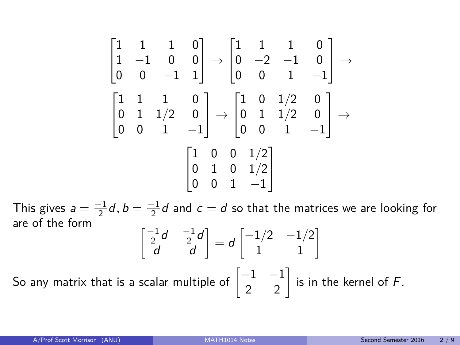$$
\begin{bmatrix} 1 & 1 & 1 & 0 \\ 1 & -1 & 0 & 0 \\ 0 & 0 & -1 & 1 \end{bmatrix} \rightarrow \begin{bmatrix} 1 & 1 & 1 & 0 \\ 0 & -2 & -1 & 0 \\ 0 & 0 & 1 & -1 \end{bmatrix} \rightarrow \begin{bmatrix} 1 & 1 & 1 & 0 \\ 0 & 0 & 1 & -1 \end{bmatrix}
$$

$$
\begin{bmatrix} 1 & 1 & 1 & 0 \\ 0 & 1 & 1/2 & 0 \\ 0 & 0 & 1 & -1 \end{bmatrix} \rightarrow \begin{bmatrix} 1 & 0 & 1/2 & 0 \\ 0 & 1 & 1/2 & 0 \\ 0 & 0 & 1 & -1 \end{bmatrix} \rightarrow \begin{bmatrix} 1 & 0 & 0 & 1/2 \\ 0 & 1 & 0 & 1/2 \\ 0 & 0 & 1 & -1 \end{bmatrix}
$$

This gives  $a = \frac{-1}{2}d$ ,  $b = \frac{-1}{2}d$  and  $c = d$  so that the matrices we are looking for are of the form

$$
\begin{bmatrix} \frac{-1}{2}d & \frac{-1}{2}d \\ d & d \end{bmatrix} = d \begin{bmatrix} -1/2 & -1/2 \\ 1 & 1 \end{bmatrix}
$$

So any matrix that is a scalar multiple of  $\begin{bmatrix} -1 & -1 \ 2 & 2 \end{bmatrix}$  is in the kernel of  $F$ .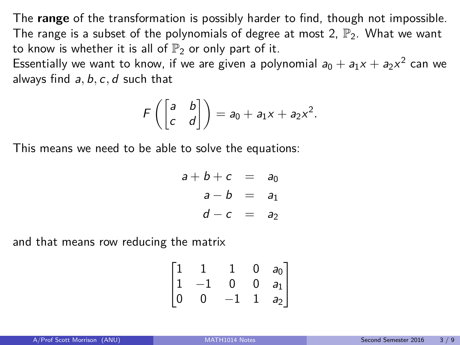The **range** of the transformation is possibly harder to find, though not impossible. The range is a subset of the polynomials of degree at most 2,  $\mathbb{P}_2$ . What we want to know is whether it is all of  $\mathbb{P}_2$  or only part of it.

Essentially we want to know, if we are given a polynomial  $a_0 + a_1 x + a_2 x^2$  can we always find a*,* b*,* c*,* d such that

$$
F\left(\begin{bmatrix} a & b \\ c & d \end{bmatrix}\right) = a_0 + a_1x + a_2x^2.
$$

This means we need to be able to solve the equations:

$$
a+b+c = a_0
$$
  
\n
$$
a-b = a_1
$$
  
\n
$$
d-c = a_2
$$

and that means row reducing the matrix

$$
\begin{bmatrix} 1 & 1 & 1 & 0 & a_0 \\ 1 & -1 & 0 & 0 & a_1 \\ 0 & 0 & -1 & 1 & a_2 \end{bmatrix}
$$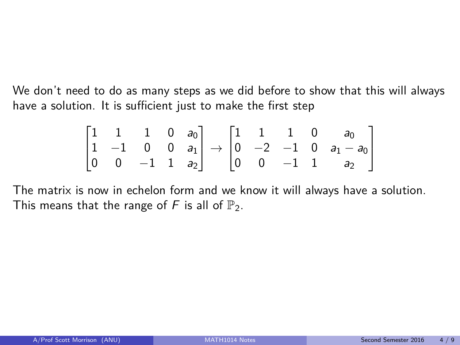We don't need to do as many steps as we did before to show that this will always have a solution. It is sufficient just to make the first step

$$
\begin{bmatrix} 1 & 1 & 1 & 0 & a_0 \\ 1 & -1 & 0 & 0 & a_1 \\ 0 & 0 & -1 & 1 & a_2 \end{bmatrix} \rightarrow \begin{bmatrix} 1 & 1 & 1 & 0 & a_0 \\ 0 & -2 & -1 & 0 & a_1 - a_0 \\ 0 & 0 & -1 & 1 & a_2 \end{bmatrix}
$$

The matrix is now in echelon form and we know it will always have a solution. This means that the range of F is all of  $\mathbb{P}_2$ .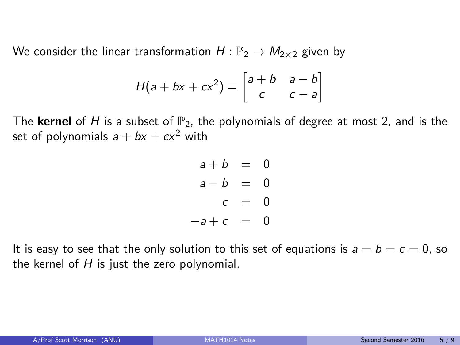We consider the linear transformation  $H : \mathbb{P}_2 \to M_{2\times 2}$  given by

$$
H(a + bx + cx^{2}) = \begin{bmatrix} a + b & a - b \\ c & c - a \end{bmatrix}
$$

The **kernel** of H is a subset of  $\mathbb{P}_2$ , the polynomials of degree at most 2, and is the set of polynomials  $a + bx + cx^2$  with

$$
a + b = 0 \n a - b = 0 \n c = 0 \n -a + c = 0
$$

It is easy to see that the only solution to this set of equations is  $a = b = c = 0$ , so the kernel of  $H$  is just the zero polynomial.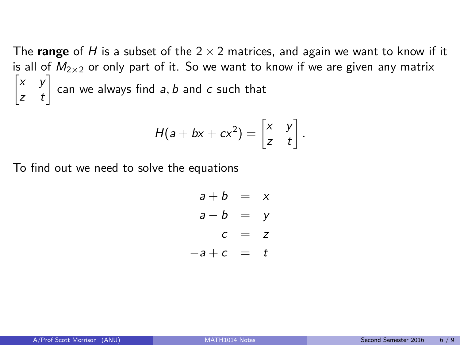The **range** of H is a subset of the  $2 \times 2$  matrices, and again we want to know if it is all of  $M_{2\times 2}$  or only part of it. So we want to know if we are given any matrix  $\begin{bmatrix} x & y \\ z & t \end{bmatrix}$  can we always find a, b and c such that

$$
H(a + bx + cx^{2}) = \begin{bmatrix} x & y \\ z & t \end{bmatrix}.
$$

To find out we need to solve the equations

$$
a + b = x
$$
  

$$
a - b = y
$$
  

$$
c = z
$$
  

$$
-a + c = t
$$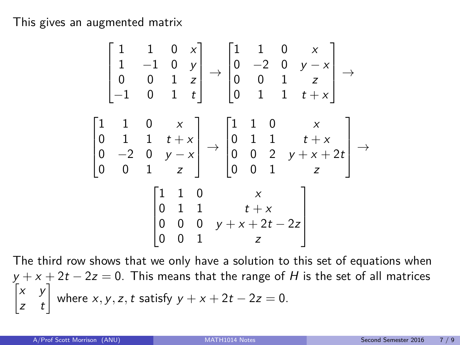This gives an augmented matrix

$$
\begin{bmatrix} 1 & 1 & 0 & x \\ 1 & -1 & 0 & y \\ 0 & 0 & 1 & z \\ -1 & 0 & 1 & t \end{bmatrix} \rightarrow \begin{bmatrix} 1 & 1 & 0 & x \\ 0 & -2 & 0 & y - x \\ 0 & 0 & 1 & z \\ 0 & 1 & 1 & t + x \end{bmatrix} \rightarrow \begin{bmatrix} 1 & 1 & 0 & x \\ 0 & 0 & 1 & z \\ 0 & 1 & 1 & t + x \\ 0 & -2 & 0 & y - x \\ 0 & 0 & 1 & z \end{bmatrix} \rightarrow \begin{bmatrix} 1 & 1 & 0 & x \\ 0 & 1 & 1 & t + x \\ 0 & 0 & 2 & y + x + 2t \\ 0 & 0 & 1 & z \end{bmatrix} \rightarrow \begin{bmatrix} 1 & 1 & 0 & x \\ 0 & 1 & 1 & t + x \\ 0 & 0 & 1 & z \end{bmatrix}
$$

The third row shows that we only have a solution to this set of equations when  $y + x + 2t - 2z = 0$ . This means that the range of  $H$  is the set of all matrices  $\begin{bmatrix} x & y \\ z & t \end{bmatrix}$  where *x*, *y*, *z*, *t* satisfy  $y + x + 2t - 2z = 0$ .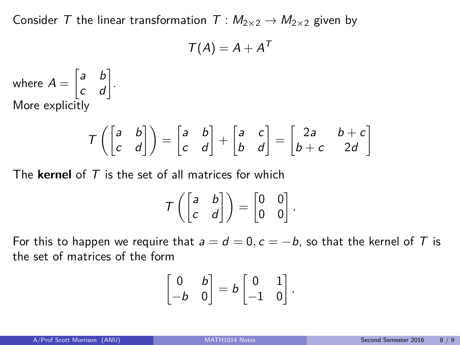Consider T the linear transformation  $T : M_{2\times 2} \to M_{2\times 2}$  given by

$$
\mathcal{T}(A)=A+A^{\mathsf{T}}
$$

where  $A = \begin{bmatrix} a & b \\ c & d \end{bmatrix}$ . More explicitly

$$
T\left(\begin{bmatrix} a & b \\ c & d \end{bmatrix}\right) = \begin{bmatrix} a & b \\ c & d \end{bmatrix} + \begin{bmatrix} a & c \\ b & d \end{bmatrix} = \begin{bmatrix} 2a & b+c \\ b+c & 2d \end{bmatrix}
$$

The **kernel** of T is the set of all matrices for which

$$
\mathcal{T}\left(\begin{bmatrix} a & b \\ c & d \end{bmatrix}\right) = \begin{bmatrix} 0 & 0 \\ 0 & 0 \end{bmatrix}.
$$

For this to happen we require that  $a = d = 0$ ,  $c = -b$ , so that the kernel of T is the set of matrices of the form

$$
\begin{bmatrix} 0 & b \\ -b & 0 \end{bmatrix} = b \begin{bmatrix} 0 & 1 \\ -1 & 0 \end{bmatrix}.
$$